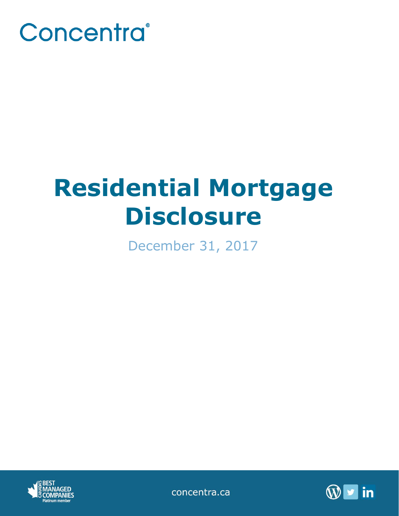

# **Residential Mortgage Disclosure**

December 31, 2017



concentra.ca

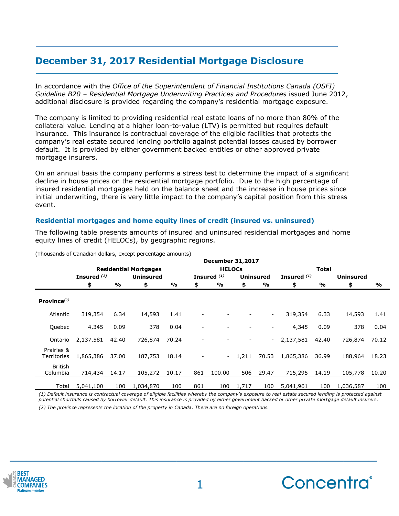# **December 31, 2017 Residential Mortgage Disclosure**

In accordance with the *Office of the Superintendent of Financial Institutions Canada (OSFI) Guideline B20 – Residential Mortgage Underwriting Practices and Procedures* issued June 2012, additional disclosure is provided regarding the company's residential mortgage exposure.

The company is limited to providing residential real estate loans of no more than 80% of the collateral value. Lending at a higher loan-to-value (LTV) is permitted but requires default insurance. This insurance is contractual coverage of the eligible facilities that protects the company's real estate secured lending portfolio against potential losses caused by borrower default. It is provided by either government backed entities or other approved private mortgage insurers.

On an annual basis the company performs a stress test to determine the impact of a significant decline in house prices on the residential mortgage portfolio. Due to the high percentage of insured residential mortgages held on the balance sheet and the increase in house prices since initial underwriting, there is very little impact to the company's capital position from this stress event.

## **Residential mortgages and home equity lines of credit (insured vs. uninsured)**

The following table presents amounts of insured and uninsured residential mortgages and home equity lines of credit (HELOCs), by geographic regions.

|                            |                              |       |                  |       |               | <b>December 31,2017</b>  |       |                          |               |       |                  |       |
|----------------------------|------------------------------|-------|------------------|-------|---------------|--------------------------|-------|--------------------------|---------------|-------|------------------|-------|
|                            | <b>Residential Mortgages</b> |       |                  |       | <b>HELOCs</b> |                          |       |                          | <b>Total</b>  |       |                  |       |
|                            | Insured <sup>(1)</sup>       |       | <b>Uninsured</b> |       |               | Insured <sup>(1)</sup>   |       | <b>Uninsured</b>         | Insured $(1)$ |       | <b>Uninsured</b> |       |
|                            | \$                           | %     | \$               | %     | \$            | %                        | \$    | %                        | \$            | %     | \$               | %     |
| Province $^{(2)}$          |                              |       |                  |       |               |                          |       |                          |               |       |                  |       |
| Atlantic                   | 319,354                      | 6.34  | 14,593           | 1.41  |               |                          |       | $\overline{\phantom{a}}$ | 319,354       | 6.33  | 14,593           | 1.41  |
| Quebec                     | 4,345                        | 0.09  | 378              | 0.04  |               |                          |       | -                        | 4,345         | 0.09  | 378              | 0.04  |
| Ontario                    | 2,137,581                    | 42.40 | 726,874          | 70.24 |               |                          |       | $\sim$                   | 2,137,581     | 42.40 | 726,874          | 70.12 |
| Prairies &<br>Territories  | 1,865,386                    | 37.00 | 187,753          | 18.14 |               | $\overline{\phantom{a}}$ | 1,211 | 70.53                    | 1,865,386     | 36.99 | 188,964          | 18.23 |
| <b>British</b><br>Columbia | 714,434                      | 14.17 | 105,272          | 10.17 | 861           | 100.00                   | 506   | 29.47                    | 715,295       | 14.19 | 105,778          | 10.20 |
| Total                      | 5,041,100                    | 100   | 1,034,870        | 100   | 861           | 100                      | 1,717 | 100                      | 5,041,961     | 100   | 1,036,587        | 100   |

(Thousands of Canadian dollars, except percentage amounts)

*(1) Default insurance is contractual coverage of eligible facilities whereby the company's exposure to real estate secured lending is protected against potential shortfalls caused by borrower default. This insurance is provided by either government backed or other private mortgage default insurers. (2) The province represents the location of the property in Canada. There are no foreign operations.*



**\_\_\_\_\_\_\_\_\_\_\_\_\_\_\_\_\_\_\_\_\_\_\_\_\_\_\_\_\_\_\_\_\_\_\_\_\_\_\_\_\_\_\_\_**